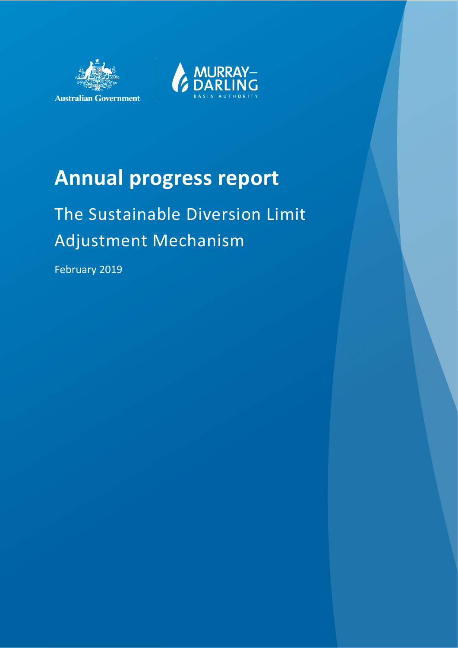



### **Annual progress report**

### The Sustainable Diversion Limit Adjustment Mechanism

February 2019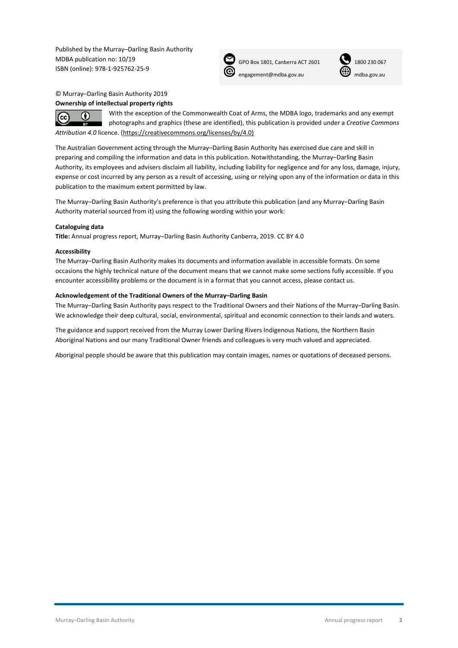Published by the Murray–Darling Basin Authority MDBA publication no: 10/19 ISBN (online): 978-1-925762-25-9



GPO Box 1801, Canberra ACT 2601 230 067



#### © Murray–Darling Basin Authority 2019

**Ownership of intellectual property rights**  $\bigcirc$  $cc$ 

With the exception of the Commonwealth Coat of Arms, the MDBA logo, trademarks and any exempt photographs and graphics (these are identified), this publication is provided under a *Creative Commons Attribution 4.0* licence. [\(https://creativecommons.org/licenses/by/4.0\)](https://creativecommons.org/licenses/by/4.0)

The Australian Government acting through the Murray–Darling Basin Authority has exercised due care and skill in preparing and compiling the information and data in this publication. Notwithstanding, the Murray–Darling Basin Authority, its employees and advisers disclaim all liability, including liability for negligence and for any loss, damage, injury, expense or cost incurred by any person as a result of accessing, using or relying upon any of the information or data in this publication to the maximum extent permitted by law.

The Murray-Darling Basin Authority's preference is that you attribute this publication (and any Murray-Darling Basin Authority material sourced from it) using the following wording within your work:

#### **Cataloguing data**

Title: Annual progress report, Murray-Darling Basin Authority Canberra, 2019. CC BY 4.0

#### **Accessibility**

The Murray-Darling Basin Authority makes its documents and information available in accessible formats. On some occasions the highly technical nature of the document means that we cannot make some sections fully accessible. If you encounter accessibility problems or the document is in a format that you cannot access, please contact us.

#### **Acknowledgement of the Traditional Owners of the Murray–Darling Basin**

The Murray−Darling Basin Authority pays respect to the Traditional Owners and their Nations of the Murray−Darling Basin. We acknowledge their deep cultural, social, environmental, spiritual and economic connection to their lands and waters.

The guidance and support received from the Murray Lower Darling Rivers Indigenous Nations, the Northern Basin Aboriginal Nations and our many Traditional Owner friends and colleagues is very much valued and appreciated.

Aboriginal people should be aware that this publication may contain images, names or quotations of deceased persons.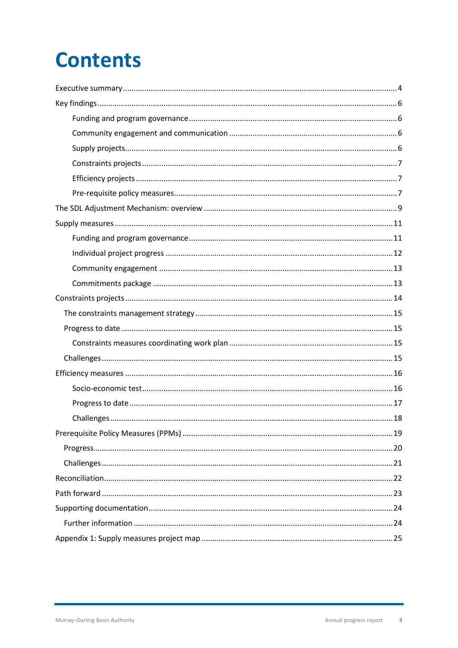# **Contents**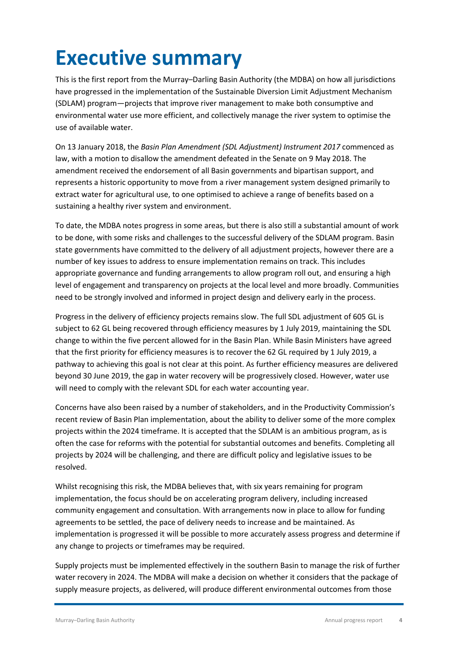## <span id="page-3-0"></span>**Executive summary**

This is the first report from the Murray–Darling Basin Authority (the MDBA) on how all jurisdictions have progressed in the implementation of the Sustainable Diversion Limit Adjustment Mechanism (SDLAM) program—projects that improve river management to make both consumptive and environmental water use more efficient, and collectively manage the river system to optimise the use of available water.

On 13 January 2018, the *Basin Plan Amendment (SDL Adjustment) Instrument 2017* commenced as law, with a motion to disallow the amendment defeated in the Senate on 9 May 2018. The amendment received the endorsement of all Basin governments and bipartisan support, and represents a historic opportunity to move from a river management system designed primarily to extract water for agricultural use, to one optimised to achieve a range of benefits based on a sustaining a healthy river system and environment.

To date, the MDBA notes progress in some areas, but there is also still a substantial amount of work to be done, with some risks and challenges to the successful delivery of the SDLAM program. Basin state governments have committed to the delivery of all adjustment projects, however there are a number of key issues to address to ensure implementation remains on track. This includes appropriate governance and funding arrangements to allow program roll out, and ensuring a high level of engagement and transparency on projects at the local level and more broadly. Communities need to be strongly involved and informed in project design and delivery early in the process.

Progress in the delivery of efficiency projects remains slow. The full SDL adjustment of 605 GL is subject to 62 GL being recovered through efficiency measures by 1 July 2019, maintaining the SDL change to within the five percent allowed for in the Basin Plan. While Basin Ministers have agreed that the first priority for efficiency measures is to recover the 62 GL required by 1 July 2019, a pathway to achieving this goal is not clear at this point. As further efficiency measures are delivered beyond 30 June 2019, the gap in water recovery will be progressively closed. However, water use will need to comply with the relevant SDL for each water accounting year.

Concerns have also been raised by a number of stakeholders, and in the Productivity Commission's recent review of Basin Plan implementation, about the ability to deliver some of the more complex projects within the 2024 timeframe. It is accepted that the SDLAM is an ambitious program, as is often the case for reforms with the potential for substantial outcomes and benefits. Completing all projects by 2024 will be challenging, and there are difficult policy and legislative issues to be resolved.

Whilst recognising this risk, the MDBA believes that, with six years remaining for program implementation, the focus should be on accelerating program delivery, including increased community engagement and consultation. With arrangements now in place to allow for funding agreements to be settled, the pace of delivery needs to increase and be maintained. As implementation is progressed it will be possible to more accurately assess progress and determine if any change to projects or timeframes may be required.

Supply projects must be implemented effectively in the southern Basin to manage the risk of further water recovery in 2024. The MDBA will make a decision on whether it considers that the package of supply measure projects, as delivered, will produce different environmental outcomes from those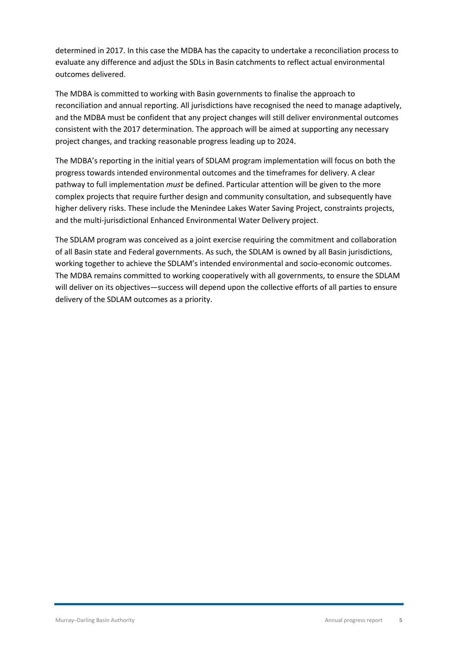determined in 2017. In this case the MDBA has the capacity to undertake a reconciliation process to evaluate any difference and adjust the SDLs in Basin catchments to reflect actual environmental outcomes delivered.

The MDBA is committed to working with Basin governments to finalise the approach to reconciliation and annual reporting. All jurisdictions have recognised the need to manage adaptively, and the MDBA must be confident that any project changes will still deliver environmental outcomes consistent with the 2017 determination. The approach will be aimed at supporting any necessary project changes, and tracking reasonable progress leading up to 2024.

The MDBA's reporting in the initial years of SDLAM program implementation will focus on both the progress towards intended environmental outcomes and the timeframes for delivery. A clear pathway to full implementation *must* be defined. Particular attention will be given to the more complex projects that require further design and community consultation, and subsequently have higher delivery risks. These include the Menindee Lakes Water Saving Project, constraints projects, and the multi-jurisdictional Enhanced Environmental Water Delivery project.

The SDLAM program was conceived as a joint exercise requiring the commitment and collaboration of all Basin state and Federal governments. As such, the SDLAM is owned by all Basin jurisdictions, working together to achieve the SDLAM's intended environmental and socio-economic outcomes. The MDBA remains committed to working cooperatively with all governments, to ensure the SDLAM will deliver on its objectives—success will depend upon the collective efforts of all parties to ensure delivery of the SDLAM outcomes as a priority.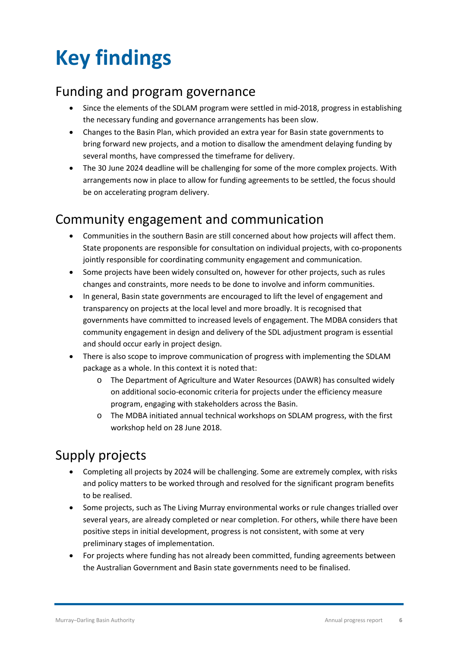# <span id="page-5-0"></span>**Key findings**

#### <span id="page-5-1"></span>Funding and program governance

- Since the elements of the SDLAM program were settled in mid-2018, progress in establishing the necessary funding and governance arrangements has been slow.
- Changes to the Basin Plan, which provided an extra year for Basin state governments to bring forward new projects, and a motion to disallow the amendment delaying funding by several months, have compressed the timeframe for delivery.
- The 30 June 2024 deadline will be challenging for some of the more complex projects. With arrangements now in place to allow for funding agreements to be settled, the focus should be on accelerating program delivery.

#### <span id="page-5-2"></span>Community engagement and communication

- Communities in the southern Basin are still concerned about how projects will affect them. State proponents are responsible for consultation on individual projects, with co-proponents jointly responsible for coordinating community engagement and communication.
- Some projects have been widely consulted on, however for other projects, such as rules changes and constraints, more needs to be done to involve and inform communities.
- In general, Basin state governments are encouraged to lift the level of engagement and transparency on projects at the local level and more broadly. It is recognised that governments have committed to increased levels of engagement. The MDBA considers that community engagement in design and delivery of the SDL adjustment program is essential and should occur early in project design.
- There is also scope to improve communication of progress with implementing the SDLAM package as a whole. In this context it is noted that:
	- o The Department of Agriculture and Water Resources (DAWR) has consulted widely on additional socio-economic criteria for projects under the efficiency measure program, engaging with stakeholders across the Basin.
	- o The MDBA initiated annual technical workshops on SDLAM progress, with the first workshop held on 28 June 2018.

#### <span id="page-5-3"></span>Supply projects

- Completing all projects by 2024 will be challenging. Some are extremely complex, with risks and policy matters to be worked through and resolved for the significant program benefits to be realised.
- Some projects, such as The Living Murray environmental works or rule changes trialled over several years, are already completed or near completion. For others, while there have been positive steps in initial development, progress is not consistent, with some at very preliminary stages of implementation.
- For projects where funding has not already been committed, funding agreements between the Australian Government and Basin state governments need to be finalised.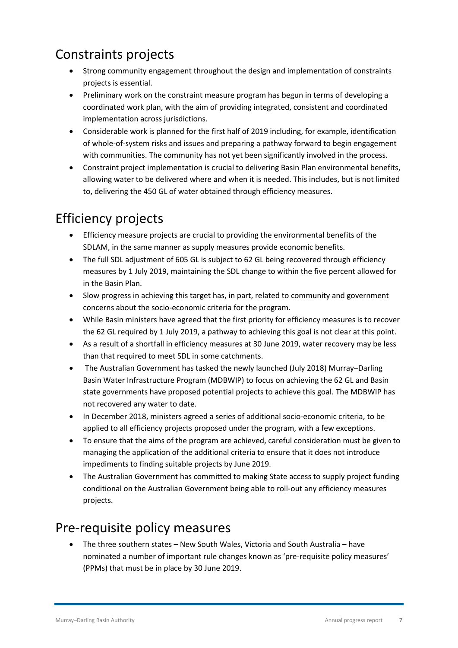### <span id="page-6-0"></span>Constraints projects

- Strong community engagement throughout the design and implementation of constraints projects is essential.
- Preliminary work on the constraint measure program has begun in terms of developing a coordinated work plan, with the aim of providing integrated, consistent and coordinated implementation across jurisdictions.
- Considerable work is planned for the first half of 2019 including, for example, identification of whole-of-system risks and issues and preparing a pathway forward to begin engagement with communities. The community has not yet been significantly involved in the process.
- Constraint project implementation is crucial to delivering Basin Plan environmental benefits, allowing water to be delivered where and when it is needed. This includes, but is not limited to, delivering the 450 GL of water obtained through efficiency measures.

### <span id="page-6-1"></span>Efficiency projects

- Efficiency measure projects are crucial to providing the environmental benefits of the SDLAM, in the same manner as supply measures provide economic benefits.
- The full SDL adjustment of 605 GL is subject to 62 GL being recovered through efficiency measures by 1 July 2019, maintaining the SDL change to within the five percent allowed for in the Basin Plan.
- Slow progress in achieving this target has, in part, related to community and government concerns about the socio-economic criteria for the program.
- While Basin ministers have agreed that the first priority for efficiency measures is to recover the 62 GL required by 1 July 2019, a pathway to achieving this goal is not clear at this point.
- As a result of a shortfall in efficiency measures at 30 June 2019, water recovery may be less than that required to meet SDL in some catchments.
- The Australian Government has tasked the newly launched (July 2018) Murray–Darling Basin Water Infrastructure Program (MDBWIP) to focus on achieving the 62 GL and Basin state governments have proposed potential projects to achieve this goal. The MDBWIP has not recovered any water to date.
- In December 2018, ministers agreed a series of additional socio-economic criteria, to be applied to all efficiency projects proposed under the program, with a few exceptions.
- To ensure that the aims of the program are achieved, careful consideration must be given to managing the application of the additional criteria to ensure that it does not introduce impediments to finding suitable projects by June 2019.
- The Australian Government has committed to making State access to supply project funding conditional on the Australian Government being able to roll-out any efficiency measures projects.

#### <span id="page-6-2"></span>Pre-requisite policy measures

• The three southern states – New South Wales, Victoria and South Australia – have nominated a number of important rule changes known as 'pre-requisite policy measures' (PPMs) that must be in place by 30 June 2019.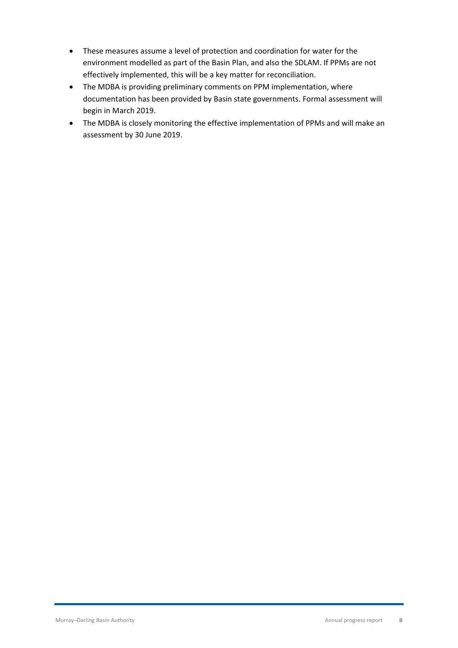- These measures assume a level of protection and coordination for water for the environment modelled as part of the Basin Plan, and also the SDLAM. If PPMs are not effectively implemented, this will be a key matter for reconciliation.
- The MDBA is providing preliminary comments on PPM implementation, where documentation has been provided by Basin state governments. Formal assessment will begin in March 2019.
- The MDBA is closely monitoring the effective implementation of PPMs and will make an assessment by 30 June 2019.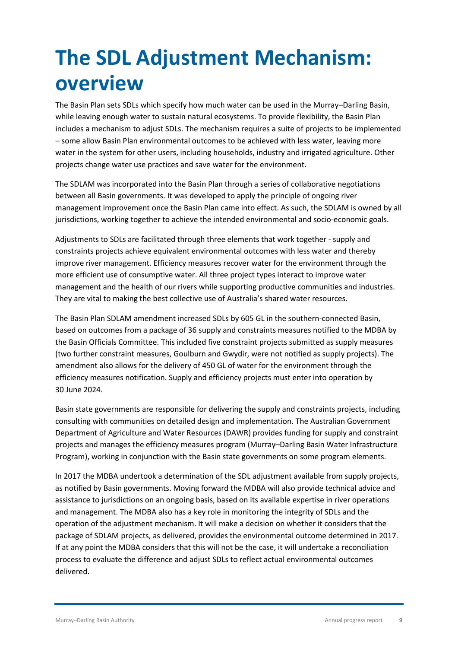## <span id="page-8-0"></span>**The SDL Adjustment Mechanism: overview**

The Basin Plan sets SDLs which specify how much water can be used in the Murray–Darling Basin, while leaving enough water to sustain natural ecosystems. To provide flexibility, the Basin Plan includes a mechanism to adjust SDLs. The mechanism requires a suite of projects to be implemented – some allow Basin Plan environmental outcomes to be achieved with less water, leaving more water in the system for other users, including households, industry and irrigated agriculture. Other projects change water use practices and save water for the environment.

The SDLAM was incorporated into the Basin Plan through a series of collaborative negotiations between all Basin governments. It was developed to apply the principle of ongoing river management improvement once the Basin Plan came into effect. As such, the SDLAM is owned by all jurisdictions, working together to achieve the intended environmental and socio-economic goals.

Adjustments to SDLs are facilitated through three elements that work together - supply and constraints projects achieve equivalent environmental outcomes with less water and thereby improve river management. Efficiency measures recover water for the environment through the more efficient use of consumptive water. All three project types interact to improve water management and the health of our rivers while supporting productive communities and industries. They are vital to making the best collective use of Australia's shared water resources.

The Basin Plan SDLAM amendment increased SDLs by 605 GL in the southern-connected Basin, based on outcomes from a package of 36 supply and constraints measures notified to the MDBA by the Basin Officials Committee. This included five constraint projects submitted as supply measures (two further constraint measures, Goulburn and Gwydir, were not notified as supply projects). The amendment also allows for the delivery of 450 GL of water for the environment through the efficiency measures notification. Supply and efficiency projects must enter into operation by 30 June 2024.

Basin state governments are responsible for delivering the supply and constraints projects, including consulting with communities on detailed design and implementation. The Australian Government Department of Agriculture and Water Resources (DAWR) provides funding for supply and constraint projects and manages the efficiency measures program (Murray–Darling Basin Water Infrastructure Program), working in conjunction with the Basin state governments on some program elements.

In 2017 the MDBA undertook a determination of the SDL adjustment available from supply projects, as notified by Basin governments. Moving forward the MDBA will also provide technical advice and assistance to jurisdictions on an ongoing basis, based on its available expertise in river operations and management. The MDBA also has a key role in monitoring the integrity of SDLs and the operation of the adjustment mechanism. It will make a decision on whether it considers that the package of SDLAM projects, as delivered, provides the environmental outcome determined in 2017. If at any point the MDBA considers that this will not be the case, it will undertake a reconciliation process to evaluate the difference and adjust SDLs to reflect actual environmental outcomes delivered.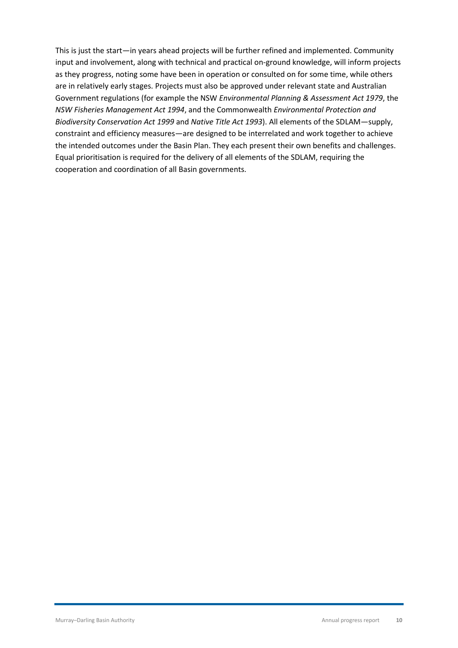This is just the start—in years ahead projects will be further refined and implemented. Community input and involvement, along with technical and practical on-ground knowledge, will inform projects as they progress, noting some have been in operation or consulted on for some time, while others are in relatively early stages. Projects must also be approved under relevant state and Australian Government regulations (for example the NSW *Environmental Planning & Assessment Act 1979*, the *NSW Fisheries Management Act 1994*, and the Commonwealth *Environmental Protection and Biodiversity Conservation Act 1999* and *Native Title Act 1993*). All elements of the SDLAM—supply, constraint and efficiency measures—are designed to be interrelated and work together to achieve the intended outcomes under the Basin Plan. They each present their own benefits and challenges. Equal prioritisation is required for the delivery of all elements of the SDLAM, requiring the cooperation and coordination of all Basin governments.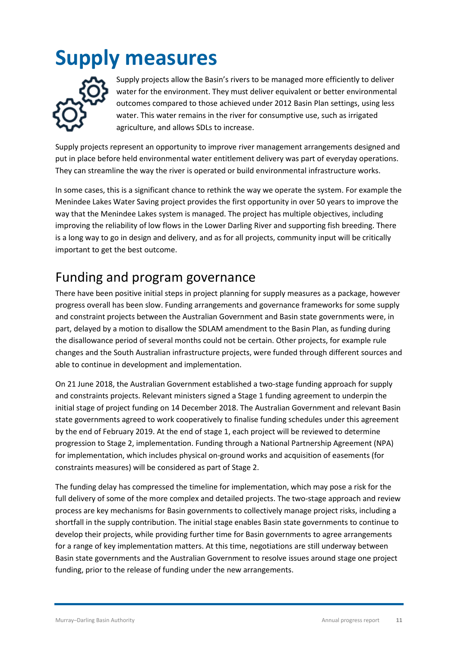# <span id="page-10-0"></span>**Supply measures**



Supply projects allow the Basin's rivers to be managed more efficiently to deliver water for the environment. They must deliver equivalent or better environmental outcomes compared to those achieved under 2012 Basin Plan settings, using less water. This water remains in the river for consumptive use, such as irrigated agriculture, and allows SDLs to increase.

Supply projects represent an opportunity to improve river management arrangements designed and put in place before held environmental water entitlement delivery was part of everyday operations. They can streamline the way the river is operated or build environmental infrastructure works.

In some cases, this is a significant chance to rethink the way we operate the system. For example the Menindee Lakes Water Saving project provides the first opportunity in over 50 years to improve the way that the Menindee Lakes system is managed. The project has multiple objectives, including improving the reliability of low flows in the Lower Darling River and supporting fish breeding. There is a long way to go in design and delivery, and as for all projects, community input will be critically important to get the best outcome.

### <span id="page-10-1"></span>Funding and program governance

There have been positive initial steps in project planning for supply measures as a package, however progress overall has been slow. Funding arrangements and governance frameworks for some supply and constraint projects between the Australian Government and Basin state governments were, in part, delayed by a motion to disallow the SDLAM amendment to the Basin Plan, as funding during the disallowance period of several months could not be certain. Other projects, for example rule changes and the South Australian infrastructure projects, were funded through different sources and able to continue in development and implementation.

On 21 June 2018, the Australian Government established a two-stage funding approach for supply and constraints projects. Relevant ministers signed a Stage 1 funding agreement to underpin the initial stage of project funding on 14 December 2018. The Australian Government and relevant Basin state governments agreed to work cooperatively to finalise funding schedules under this agreement by the end of February 2019. At the end of stage 1, each project will be reviewed to determine progression to Stage 2, implementation. Funding through a National Partnership Agreement (NPA) for implementation, which includes physical on-ground works and acquisition of easements (for constraints measures) will be considered as part of Stage 2.

The funding delay has compressed the timeline for implementation, which may pose a risk for the full delivery of some of the more complex and detailed projects. The two-stage approach and review process are key mechanisms for Basin governments to collectively manage project risks, including a shortfall in the supply contribution. The initial stage enables Basin state governments to continue to develop their projects, while providing further time for Basin governments to agree arrangements for a range of key implementation matters. At this time, negotiations are still underway between Basin state governments and the Australian Government to resolve issues around stage one project funding, prior to the release of funding under the new arrangements.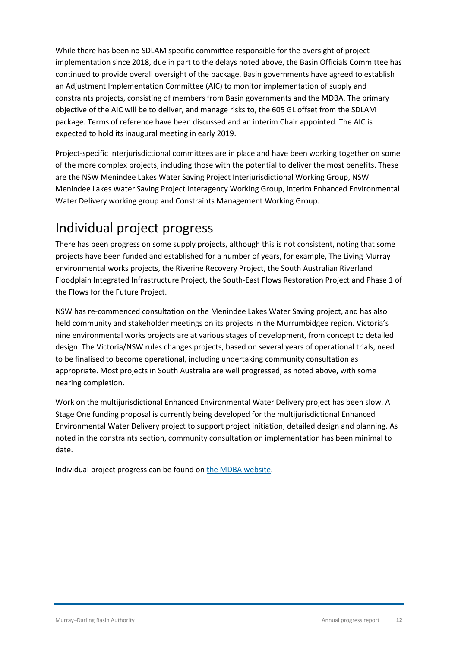While there has been no SDLAM specific committee responsible for the oversight of project implementation since 2018, due in part to the delays noted above, the Basin Officials Committee has continued to provide overall oversight of the package. Basin governments have agreed to establish an Adjustment Implementation Committee (AIC) to monitor implementation of supply and constraints projects, consisting of members from Basin governments and the MDBA. The primary objective of the AIC will be to deliver, and manage risks to, the 605 GL offset from the SDLAM package. Terms of reference have been discussed and an interim Chair appointed. The AIC is expected to hold its inaugural meeting in early 2019.

Project-specific interjurisdictional committees are in place and have been working together on some of the more complex projects, including those with the potential to deliver the most benefits. These are the NSW Menindee Lakes Water Saving Project Interjurisdictional Working Group, NSW Menindee Lakes Water Saving Project Interagency Working Group, interim Enhanced Environmental Water Delivery working group and Constraints Management Working Group.

#### <span id="page-11-0"></span>Individual project progress

There has been progress on some supply projects, although this is not consistent, noting that some projects have been funded and established for a number of years, for example, The Living Murray environmental works projects, the Riverine Recovery Project, the South Australian Riverland Floodplain Integrated Infrastructure Project, the South-East Flows Restoration Project and Phase 1 of the Flows for the Future Project.

NSW has re-commenced consultation on the Menindee Lakes Water Saving project, and has also held community and stakeholder meetings on its projects in the Murrumbidgee region. Victoria's nine environmental works projects are at various stages of development, from concept to detailed design. The Victoria/NSW rules changes projects, based on several years of operational trials, need to be finalised to become operational, including undertaking community consultation as appropriate. Most projects in South Australia are well progressed, as noted above, with some nearing completion.

Work on the multijurisdictional Enhanced Environmental Water Delivery project has been slow. A Stage One funding proposal is currently being developed for the multijurisdictional Enhanced Environmental Water Delivery project to support project initiation, detailed design and planning. As noted in the constraints section, community consultation on implementation has been minimal to date.

Individual project progress can be found o[n the MDBA website.](https://www.mdba.gov.au/basin-plan-roll-out/sustainable-diversion-limits/sdl-adjustment-proposals-state-projects)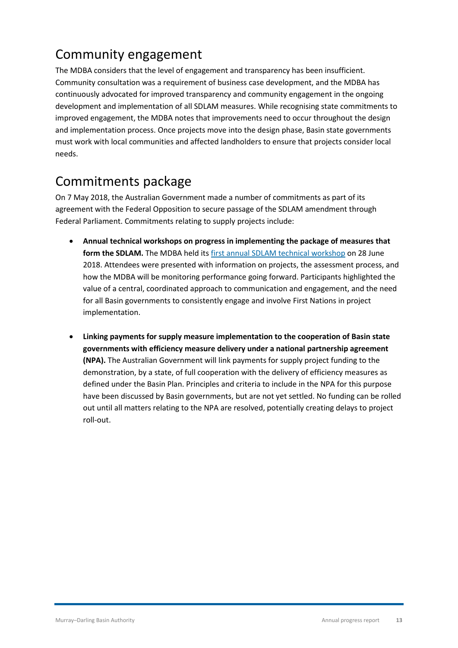### <span id="page-12-0"></span>Community engagement

The MDBA considers that the level of engagement and transparency has been insufficient. Community consultation was a requirement of business case development, and the MDBA has continuously advocated for improved transparency and community engagement in the ongoing development and implementation of all SDLAM measures. While recognising state commitments to improved engagement, the MDBA notes that improvements need to occur throughout the design and implementation process. Once projects move into the design phase, Basin state governments must work with local communities and affected landholders to ensure that projects consider local needs.

#### <span id="page-12-1"></span>Commitments package

On 7 May 2018, the Australian Government made a number of commitments as part of its agreement with the Federal Opposition to secure passage of the SDLAM amendment through Federal Parliament. Commitments relating to supply projects include:

- **Annual technical workshops on progress in implementing the package of measures that form the SDLAM.** The MDBA held its [first annual SDLAM technical workshop](https://www.mdba.gov.au/publications/mdba-reports/sdl-adjustment-projects-technical-workshop-outcomes) on 28 June 2018. Attendees were presented with information on projects, the assessment process, and how the MDBA will be monitoring performance going forward. Participants highlighted the value of a central, coordinated approach to communication and engagement, and the need for all Basin governments to consistently engage and involve First Nations in project implementation.
- **Linking payments for supply measure implementation to the cooperation of Basin state governments with efficiency measure delivery under a national partnership agreement (NPA).** The Australian Government will link payments for supply project funding to the demonstration, by a state, of full cooperation with the delivery of efficiency measures as defined under the Basin Plan. Principles and criteria to include in the NPA for this purpose have been discussed by Basin governments, but are not yet settled. No funding can be rolled out until all matters relating to the NPA are resolved, potentially creating delays to project roll-out.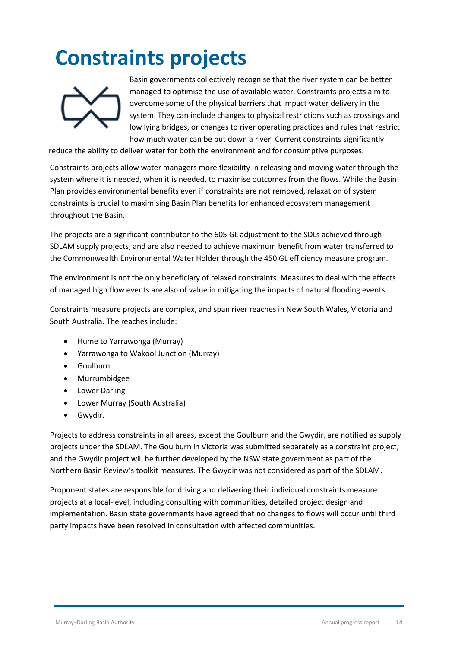# <span id="page-13-0"></span>**Constraints projects**



Basin governments collectively recognise that the river system can be better managed to optimise the use of available water. Constraints projects aim to overcome some of the physical barriers that impact water delivery in the system. They can include changes to physical restrictions such as crossings and low lying bridges, or changes to river operating practices and rules that restrict how much water can be put down a river. Current constraints significantly

reduce the ability to deliver water for both the environment and for consumptive purposes.

Constraints projects allow water managers more flexibility in releasing and moving water through the system where it is needed, when it is needed, to maximise outcomes from the flows. While the Basin Plan provides environmental benefits even if constraints are not removed, relaxation of system constraints is crucial to maximising Basin Plan benefits for enhanced ecosystem management throughout the Basin.

The projects are a significant contributor to the 605 GL adjustment to the SDLs achieved through SDLAM supply projects, and are also needed to achieve maximum benefit from water transferred to the Commonwealth Environmental Water Holder through the 450 GL efficiency measure program.

The environment is not the only beneficiary of relaxed constraints. Measures to deal with the effects of managed high flow events are also of value in mitigating the impacts of natural flooding events.

Constraints measure projects are complex, and span river reaches in New South Wales, Victoria and South Australia. The reaches include:

- Hume to Yarrawonga (Murray)
- Yarrawonga to Wakool Junction (Murray)
- Goulburn
- Murrumbidgee
- Lower Darling
- Lower Murray (South Australia)
- Gwydir.

Projects to address constraints in all areas, except the Goulburn and the Gwydir, are notified as supply projects under the SDLAM. The Goulburn in Victoria was submitted separately as a constraint project, and the Gwydir project will be further developed by the NSW state government as part of the Northern Basin Review's toolkit measures. The Gwydir was not considered as part of the SDLAM.

Proponent states are responsible for driving and delivering their individual constraints measure projects at a local-level, including consulting with communities, detailed project design and implementation. Basin state governments have agreed that no changes to flows will occur until third party impacts have been resolved in consultation with affected communities.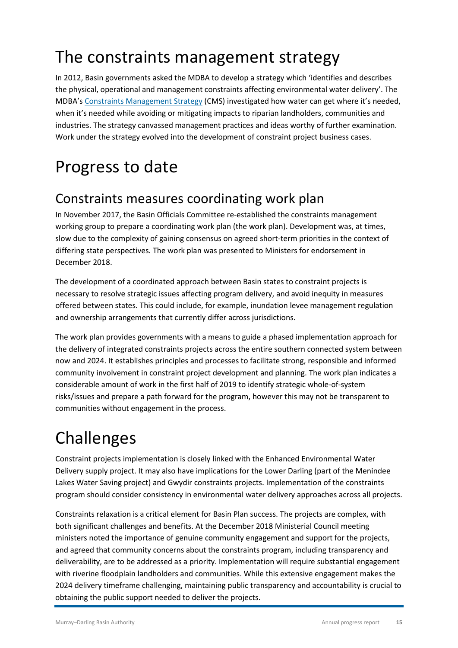### <span id="page-14-0"></span>The constraints management strategy

In 2012, Basin governments asked the MDBA to develop a strategy which 'identifies and describes the physical, operational and management constraints affecting environmental water delivery'. The MDBA's [Constraints Management Strategy](https://www.mdba.gov.au/publications/mdba-reports/constraints-management-strategy) (CMS) investigated how water can get where it's needed, when it's needed while avoiding or mitigating impacts to riparian landholders, communities and industries. The strategy canvassed management practices and ideas worthy of further examination. Work under the strategy evolved into the development of constraint project business cases.

### <span id="page-14-1"></span>Progress to date

#### <span id="page-14-2"></span>Constraints measures coordinating work plan

In November 2017, the Basin Officials Committee re-established the constraints management working group to prepare a coordinating work plan (the work plan). Development was, at times, slow due to the complexity of gaining consensus on agreed short-term priorities in the context of differing state perspectives. The work plan was presented to Ministers for endorsement in December 2018.

The development of a coordinated approach between Basin states to constraint projects is necessary to resolve strategic issues affecting program delivery, and avoid inequity in measures offered between states. This could include, for example, inundation levee management regulation and ownership arrangements that currently differ across jurisdictions.

The work plan provides governments with a means to guide a phased implementation approach for the delivery of integrated constraints projects across the entire southern connected system between now and 2024. It establishes principles and processes to facilitate strong, responsible and informed community involvement in constraint project development and planning. The work plan indicates a considerable amount of work in the first half of 2019 to identify strategic whole-of-system risks/issues and prepare a path forward for the program, however this may not be transparent to communities without engagement in the process.

### <span id="page-14-3"></span>Challenges

Constraint projects implementation is closely linked with the Enhanced Environmental Water Delivery supply project. It may also have implications for the Lower Darling (part of the Menindee Lakes Water Saving project) and Gwydir constraints projects. Implementation of the constraints program should consider consistency in environmental water delivery approaches across all projects.

Constraints relaxation is a critical element for Basin Plan success. The projects are complex, with both significant challenges and benefits. At the December 2018 Ministerial Council meeting ministers noted the importance of genuine community engagement and support for the projects, and agreed that community concerns about the constraints program, including transparency and deliverability, are to be addressed as a priority. Implementation will require substantial engagement with riverine floodplain landholders and communities. While this extensive engagement makes the 2024 delivery timeframe challenging, maintaining public transparency and accountability is crucial to obtaining the public support needed to deliver the projects.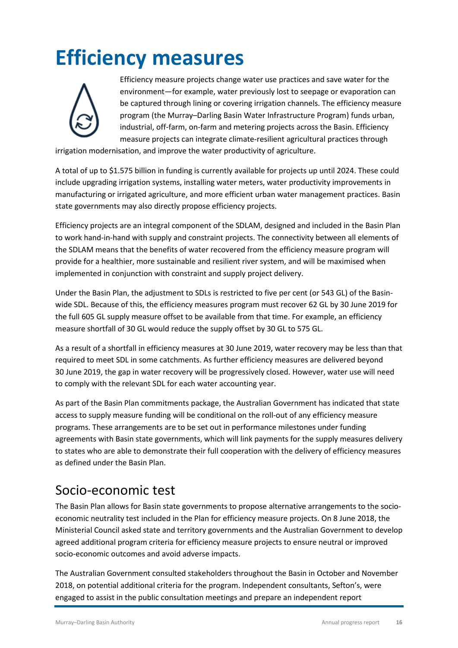# <span id="page-15-0"></span>**Efficiency measures**



Efficiency measure projects change water use practices and save water for the environment—for example, water previously lost to seepage or evaporation can be captured through lining or covering irrigation channels. The efficiency measure program (the Murray–Darling Basin Water Infrastructure Program) funds urban, industrial, off-farm, on-farm and metering projects across the Basin. Efficiency measure projects can integrate climate-resilient agricultural practices through

irrigation modernisation, and improve the water productivity of agriculture.

A total of up to \$1.575 billion in funding is currently available for projects up until 2024. These could include upgrading irrigation systems, installing water meters, water productivity improvements in manufacturing or irrigated agriculture, and more efficient urban water management practices. Basin state governments may also directly propose efficiency projects.

Efficiency projects are an integral component of the SDLAM, designed and included in the Basin Plan to work hand-in-hand with supply and constraint projects. The connectivity between all elements of the SDLAM means that the benefits of water recovered from the efficiency measure program will provide for a healthier, more sustainable and resilient river system, and will be maximised when implemented in conjunction with constraint and supply project delivery.

Under the Basin Plan, the adjustment to SDLs is restricted to five per cent (or 543 GL) of the Basinwide SDL. Because of this, the efficiency measures program must recover 62 GL by 30 June 2019 for the full 605 GL supply measure offset to be available from that time. For example, an efficiency measure shortfall of 30 GL would reduce the supply offset by 30 GL to 575 GL.

As a result of a shortfall in efficiency measures at 30 June 2019, water recovery may be less than that required to meet SDL in some catchments. As further efficiency measures are delivered beyond 30 June 2019, the gap in water recovery will be progressively closed. However, water use will need to comply with the relevant SDL for each water accounting year.

As part of the Basin Plan commitments package, the Australian Government has indicated that state access to supply measure funding will be conditional on the roll-out of any efficiency measure programs. These arrangements are to be set out in performance milestones under funding agreements with Basin state governments, which will link payments for the supply measures delivery to states who are able to demonstrate their full cooperation with the delivery of efficiency measures as defined under the Basin Plan.

#### <span id="page-15-1"></span>Socio-economic test

The Basin Plan allows for Basin state governments to propose alternative arrangements to the socioeconomic neutrality test included in the Plan for efficiency measure projects. On 8 June 2018, the Ministerial Council asked state and territory governments and the Australian Government to develop agreed additional program criteria for efficiency measure projects to ensure neutral or improved socio-economic outcomes and avoid adverse impacts.

The Australian Government consulted stakeholders throughout the Basin in October and November 2018, on potential additional criteria for the program. Independent consultants, Sefton's, were engaged to assist in the public consultation meetings and prepare an independent report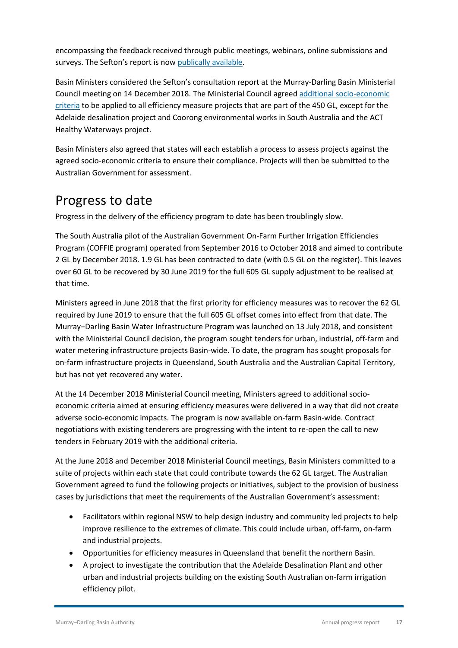encompassing the feedback received through public meetings, webinars, online submissions and surveys. The Sefton's report is now [publically available.](https://haveyoursay.agriculture.gov.au/40641/documents/95442)

Basin Ministers considered the Sefton's consultation report at the Murray-Darling Basin Ministerial Council meeting on 14 December 2018. The Ministerial Council agreed [additional socio-economic](https://haveyoursay.agriculture.gov.au/40641/documents/95243)  [criteria](https://haveyoursay.agriculture.gov.au/40641/documents/95243) to be applied to all efficiency measure projects that are part of the 450 GL, except for the Adelaide desalination project and Coorong environmental works in South Australia and the ACT Healthy Waterways project.

Basin Ministers also agreed that states will each establish a process to assess projects against the agreed socio-economic criteria to ensure their compliance. Projects will then be submitted to the Australian Government for assessment.

#### <span id="page-16-0"></span>Progress to date

Progress in the delivery of the efficiency program to date has been troublingly slow.

The South Australia pilot of the Australian Government On-Farm Further Irrigation Efficiencies Program (COFFIE program) operated from September 2016 to October 2018 and aimed to contribute 2 GL by December 2018. 1.9 GL has been contracted to date (with 0.5 GL on the register). This leaves over 60 GL to be recovered by 30 June 2019 for the full 605 GL supply adjustment to be realised at that time.

Ministers agreed in June 2018 that the first priority for efficiency measures was to recover the 62 GL required by June 2019 to ensure that the full 605 GL offset comes into effect from that date. The Murray–Darling Basin Water Infrastructure Program was launched on 13 July 2018, and consistent with the Ministerial Council decision, the program sought tenders for urban, industrial, off-farm and water metering infrastructure projects Basin-wide. To date, the program has sought proposals for on-farm infrastructure projects in Queensland, South Australia and the Australian Capital Territory, but has not yet recovered any water.

At the 14 December 2018 Ministerial Council meeting, Ministers agreed to additional socioeconomic criteria aimed at ensuring efficiency measures were delivered in a way that did not create adverse socio-economic impacts. The program is now available on-farm Basin-wide. Contract negotiations with existing tenderers are progressing with the intent to re-open the call to new tenders in February 2019 with the additional criteria.

At the June 2018 and December 2018 Ministerial Council meetings, Basin Ministers committed to a suite of projects within each state that could contribute towards the 62 GL target. The Australian Government agreed to fund the following projects or initiatives, subject to the provision of business cases by jurisdictions that meet the requirements of the Australian Government's assessment:

- Facilitators within regional NSW to help design industry and community led projects to help improve resilience to the extremes of climate. This could include urban, off-farm, on-farm and industrial projects.
- Opportunities for efficiency measures in Queensland that benefit the northern Basin.
- A project to investigate the contribution that the Adelaide Desalination Plant and other urban and industrial projects building on the existing South Australian on-farm irrigation efficiency pilot.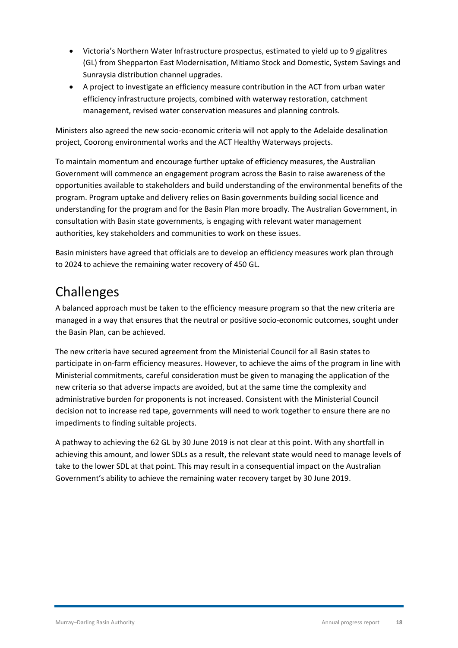- Victoria's Northern Water Infrastructure prospectus, estimated to yield up to 9 gigalitres (GL) from Shepparton East Modernisation, Mitiamo Stock and Domestic, System Savings and Sunraysia distribution channel upgrades.
- A project to investigate an efficiency measure contribution in the ACT from urban water efficiency infrastructure projects, combined with waterway restoration, catchment management, revised water conservation measures and planning controls.

Ministers also agreed the new socio-economic criteria will not apply to the Adelaide desalination project, Coorong environmental works and the ACT Healthy Waterways projects.

To maintain momentum and encourage further uptake of efficiency measures, the Australian Government will commence an engagement program across the Basin to raise awareness of the opportunities available to stakeholders and build understanding of the environmental benefits of the program. Program uptake and delivery relies on Basin governments building social licence and understanding for the program and for the Basin Plan more broadly. The Australian Government, in consultation with Basin state governments, is engaging with relevant water management authorities, key stakeholders and communities to work on these issues.

Basin ministers have agreed that officials are to develop an efficiency measures work plan through to 2024 to achieve the remaining water recovery of 450 GL.

#### <span id="page-17-0"></span>Challenges

A balanced approach must be taken to the efficiency measure program so that the new criteria are managed in a way that ensures that the neutral or positive socio-economic outcomes, sought under the Basin Plan, can be achieved.

The new criteria have secured agreement from the Ministerial Council for all Basin states to participate in on-farm efficiency measures. However, to achieve the aims of the program in line with Ministerial commitments, careful consideration must be given to managing the application of the new criteria so that adverse impacts are avoided, but at the same time the complexity and administrative burden for proponents is not increased. Consistent with the Ministerial Council decision not to increase red tape, governments will need to work together to ensure there are no impediments to finding suitable projects.

A pathway to achieving the 62 GL by 30 June 2019 is not clear at this point. With any shortfall in achieving this amount, and lower SDLs as a result, the relevant state would need to manage levels of take to the lower SDL at that point. This may result in a consequential impact on the Australian Government's ability to achieve the remaining water recovery target by 30 June 2019.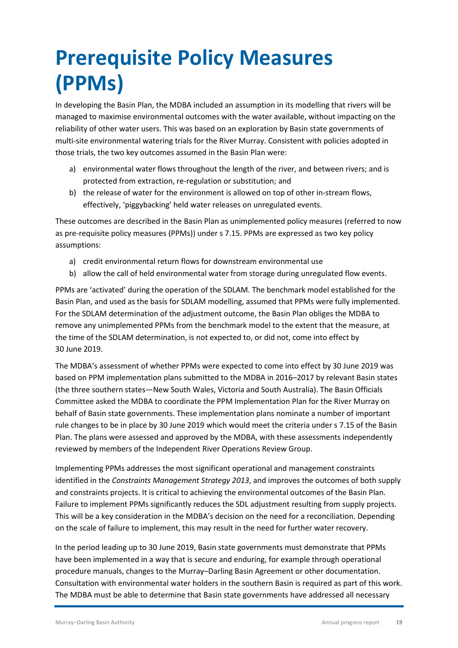# <span id="page-18-0"></span>**Prerequisite Policy Measures (PPMs)**

In developing the Basin Plan, the MDBA included an assumption in its modelling that rivers will be managed to maximise environmental outcomes with the water available, without impacting on the reliability of other water users. This was based on an exploration by Basin state governments of multi-site environmental watering trials for the River Murray. Consistent with policies adopted in those trials, the two key outcomes assumed in the Basin Plan were:

- a) environmental water flows throughout the length of the river, and between rivers; and is protected from extraction, re-regulation or substitution; and
- b) the release of water for the environment is allowed on top of other in-stream flows, effectively, 'piggybacking' held water releases on unregulated events.

These outcomes are described in the Basin Plan as unimplemented policy measures (referred to now as pre-requisite policy measures (PPMs)) under s 7.15. PPMs are expressed as two key policy assumptions:

- a) credit environmental return flows for downstream environmental use
- b) allow the call of held environmental water from storage during unregulated flow events.

PPMs are 'activated' during the operation of the SDLAM. The benchmark model established for the Basin Plan, and used as the basis for SDLAM modelling, assumed that PPMs were fully implemented. For the SDLAM determination of the adjustment outcome, the Basin Plan obliges the MDBA to remove any unimplemented PPMs from the benchmark model to the extent that the measure, at the time of the SDLAM determination, is not expected to, or did not, come into effect by 30 June 2019.

The MDBA's assessment of whether PPMs were expected to come into effect by 30 June 2019 was based on PPM implementation plans submitted to the MDBA in 2016–2017 by relevant Basin states (the three southern states—New South Wales, Victoria and South Australia). The Basin Officials Committee asked the MDBA to coordinate the PPM Implementation Plan for the River Murray on behalf of Basin state governments. These implementation plans nominate a number of important rule changes to be in place by 30 June 2019 which would meet the criteria under s 7.15 of the Basin Plan. The plans were assessed and approved by the MDBA, with these assessments independently reviewed by members of the Independent River Operations Review Group.

Implementing PPMs addresses the most significant operational and management constraints identified in the *Constraints Management Strategy 2013*, and improves the outcomes of both supply and constraints projects. It is critical to achieving the environmental outcomes of the Basin Plan. Failure to implement PPMs significantly reduces the SDL adjustment resulting from supply projects. This will be a key consideration in the MDBA's decision on the need for a reconciliation. Depending on the scale of failure to implement, this may result in the need for further water recovery.

In the period leading up to 30 June 2019, Basin state governments must demonstrate that PPMs have been implemented in a way that is secure and enduring, for example through operational procedure manuals, changes to the Murray–Darling Basin Agreement or other documentation. Consultation with environmental water holders in the southern Basin is required as part of this work. The MDBA must be able to determine that Basin state governments have addressed all necessary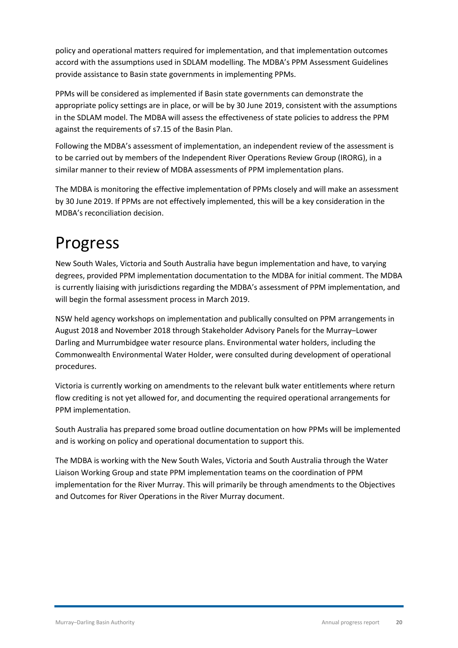policy and operational matters required for implementation, and that implementation outcomes accord with the assumptions used in SDLAM modelling. The MDBA's PPM Assessment Guidelines provide assistance to Basin state governments in implementing PPMs.

PPMs will be considered as implemented if Basin state governments can demonstrate the appropriate policy settings are in place, or will be by 30 June 2019, consistent with the assumptions in the SDLAM model. The MDBA will assess the effectiveness of state policies to address the PPM against the requirements of s7.15 of the Basin Plan.

Following the MDBA's assessment of implementation, an independent review of the assessment is to be carried out by members of the Independent River Operations Review Group (IRORG), in a similar manner to their review of MDBA assessments of PPM implementation plans.

The MDBA is monitoring the effective implementation of PPMs closely and will make an assessment by 30 June 2019. If PPMs are not effectively implemented, this will be a key consideration in the MDBA's reconciliation decision.

### <span id="page-19-0"></span>Progress

New South Wales, Victoria and South Australia have begun implementation and have, to varying degrees, provided PPM implementation documentation to the MDBA for initial comment. The MDBA is currently liaising with jurisdictions regarding the MDBA's assessment of PPM implementation, and will begin the formal assessment process in March 2019.

NSW held agency workshops on implementation and publically consulted on PPM arrangements in August 2018 and November 2018 through Stakeholder Advisory Panels for the Murray–Lower Darling and Murrumbidgee water resource plans. Environmental water holders, including the Commonwealth Environmental Water Holder, were consulted during development of operational procedures.

Victoria is currently working on amendments to the relevant bulk water entitlements where return flow crediting is not yet allowed for, and documenting the required operational arrangements for PPM implementation.

South Australia has prepared some broad outline documentation on how PPMs will be implemented and is working on policy and operational documentation to support this.

The MDBA is working with the New South Wales, Victoria and South Australia through the Water Liaison Working Group and state PPM implementation teams on the coordination of PPM implementation for the River Murray. This will primarily be through amendments to the Objectives and Outcomes for River Operations in the River Murray document.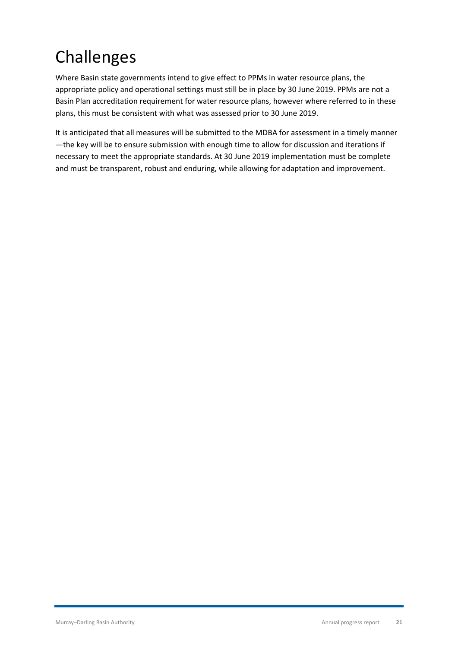### <span id="page-20-0"></span>Challenges

Where Basin state governments intend to give effect to PPMs in water resource plans, the appropriate policy and operational settings must still be in place by 30 June 2019. PPMs are not a Basin Plan accreditation requirement for water resource plans, however where referred to in these plans, this must be consistent with what was assessed prior to 30 June 2019.

It is anticipated that all measures will be submitted to the MDBA for assessment in a timely manner —the key will be to ensure submission with enough time to allow for discussion and iterations if necessary to meet the appropriate standards. At 30 June 2019 implementation must be complete and must be transparent, robust and enduring, while allowing for adaptation and improvement.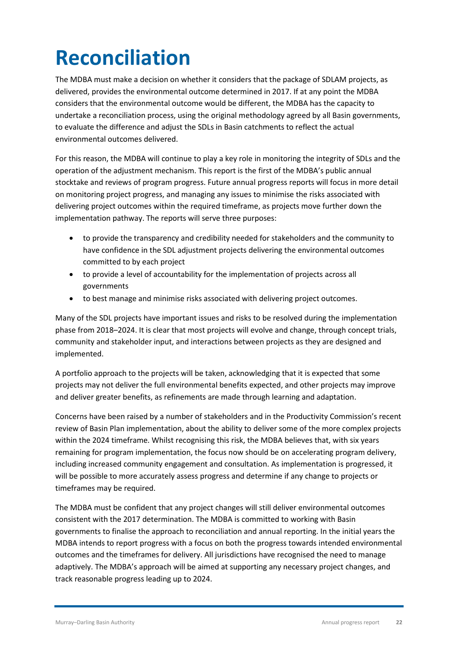# <span id="page-21-0"></span>**Reconciliation**

The MDBA must make a decision on whether it considers that the package of SDLAM projects, as delivered, provides the environmental outcome determined in 2017. If at any point the MDBA considers that the environmental outcome would be different, the MDBA has the capacity to undertake a reconciliation process, using the original methodology agreed by all Basin governments, to evaluate the difference and adjust the SDLs in Basin catchments to reflect the actual environmental outcomes delivered.

For this reason, the MDBA will continue to play a key role in monitoring the integrity of SDLs and the operation of the adjustment mechanism. This report is the first of the MDBA's public annual stocktake and reviews of program progress. Future annual progress reports will focus in more detail on monitoring project progress, and managing any issues to minimise the risks associated with delivering project outcomes within the required timeframe, as projects move further down the implementation pathway. The reports will serve three purposes:

- to provide the transparency and credibility needed for stakeholders and the community to have confidence in the SDL adjustment projects delivering the environmental outcomes committed to by each project
- to provide a level of accountability for the implementation of projects across all governments
- to best manage and minimise risks associated with delivering project outcomes.

Many of the SDL projects have important issues and risks to be resolved during the implementation phase from 2018–2024. It is clear that most projects will evolve and change, through concept trials, community and stakeholder input, and interactions between projects as they are designed and implemented.

A portfolio approach to the projects will be taken, acknowledging that it is expected that some projects may not deliver the full environmental benefits expected, and other projects may improve and deliver greater benefits, as refinements are made through learning and adaptation.

Concerns have been raised by a number of stakeholders and in the Productivity Commission's recent review of Basin Plan implementation, about the ability to deliver some of the more complex projects within the 2024 timeframe. Whilst recognising this risk, the MDBA believes that, with six years remaining for program implementation, the focus now should be on accelerating program delivery, including increased community engagement and consultation. As implementation is progressed, it will be possible to more accurately assess progress and determine if any change to projects or timeframes may be required.

The MDBA must be confident that any project changes will still deliver environmental outcomes consistent with the 2017 determination. The MDBA is committed to working with Basin governments to finalise the approach to reconciliation and annual reporting. In the initial years the MDBA intends to report progress with a focus on both the progress towards intended environmental outcomes and the timeframes for delivery. All jurisdictions have recognised the need to manage adaptively. The MDBA's approach will be aimed at supporting any necessary project changes, and track reasonable progress leading up to 2024.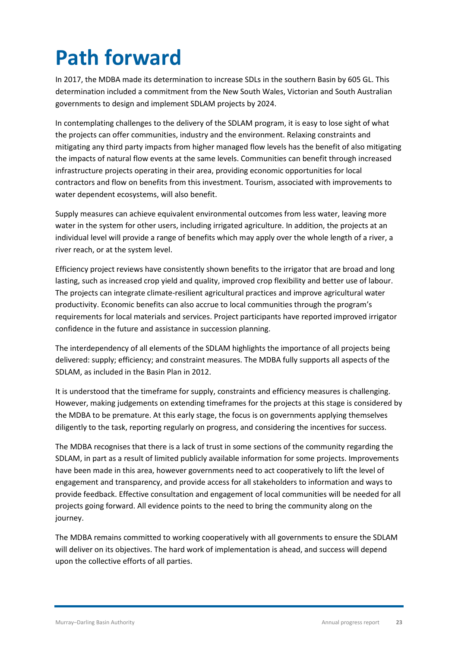# <span id="page-22-0"></span>**Path forward**

In 2017, the MDBA made its determination to increase SDLs in the southern Basin by 605 GL. This determination included a commitment from the New South Wales, Victorian and South Australian governments to design and implement SDLAM projects by 2024.

In contemplating challenges to the delivery of the SDLAM program, it is easy to lose sight of what the projects can offer communities, industry and the environment. Relaxing constraints and mitigating any third party impacts from higher managed flow levels has the benefit of also mitigating the impacts of natural flow events at the same levels. Communities can benefit through increased infrastructure projects operating in their area, providing economic opportunities for local contractors and flow on benefits from this investment. Tourism, associated with improvements to water dependent ecosystems, will also benefit.

Supply measures can achieve equivalent environmental outcomes from less water, leaving more water in the system for other users, including irrigated agriculture. In addition, the projects at an individual level will provide a range of benefits which may apply over the whole length of a river, a river reach, or at the system level.

Efficiency project reviews have consistently shown benefits to the irrigator that are broad and long lasting, such as increased crop yield and quality, improved crop flexibility and better use of labour. The projects can integrate climate-resilient agricultural practices and improve agricultural water productivity. Economic benefits can also accrue to local communities through the program's requirements for local materials and services. Project participants have reported improved irrigator confidence in the future and assistance in succession planning.

The interdependency of all elements of the SDLAM highlights the importance of all projects being delivered: supply; efficiency; and constraint measures. The MDBA fully supports all aspects of the SDLAM, as included in the Basin Plan in 2012.

It is understood that the timeframe for supply, constraints and efficiency measures is challenging. However, making judgements on extending timeframes for the projects at this stage is considered by the MDBA to be premature. At this early stage, the focus is on governments applying themselves diligently to the task, reporting regularly on progress, and considering the incentives for success.

The MDBA recognises that there is a lack of trust in some sections of the community regarding the SDLAM, in part as a result of limited publicly available information for some projects. Improvements have been made in this area, however governments need to act cooperatively to lift the level of engagement and transparency, and provide access for all stakeholders to information and ways to provide feedback. Effective consultation and engagement of local communities will be needed for all projects going forward. All evidence points to the need to bring the community along on the journey.

The MDBA remains committed to working cooperatively with all governments to ensure the SDLAM will deliver on its objectives. The hard work of implementation is ahead, and success will depend upon the collective efforts of all parties.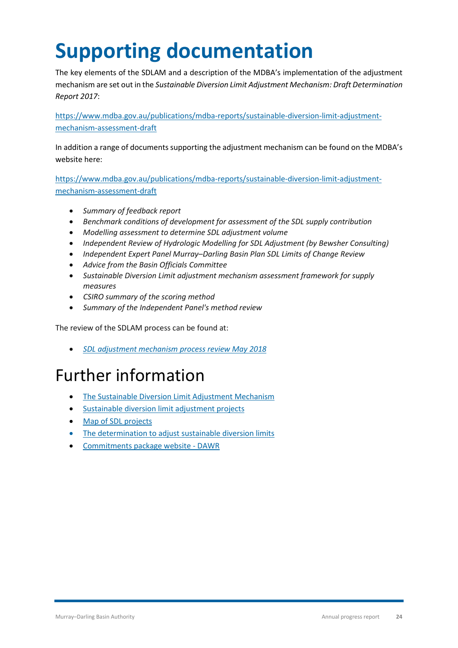# <span id="page-23-0"></span>**Supporting documentation**

The key elements of the SDLAM and a description of the MDBA's implementation of the adjustment mechanism are set out in the *Sustainable Diversion Limit Adjustment Mechanism: Draft Determination Report 2017*:

[https://www.mdba.gov.au/publications/mdba-reports/sustainable-diversion-limit-adjustment](https://www.mdba.gov.au/publications/mdba-reports/sustainable-diversion-limit-adjustment-mechanism-assessment-draft)[mechanism-assessment-draft](https://www.mdba.gov.au/publications/mdba-reports/sustainable-diversion-limit-adjustment-mechanism-assessment-draft)

In addition a range of documents supporting the adjustment mechanism can be found on the MDBA's website here:

[https://www.mdba.gov.au/publications/mdba-reports/sustainable-diversion-limit-adjustment](https://www.mdba.gov.au/publications/mdba-reports/sustainable-diversion-limit-adjustment-mechanism-assessment-draft)[mechanism-assessment-draft](https://www.mdba.gov.au/publications/mdba-reports/sustainable-diversion-limit-adjustment-mechanism-assessment-draft)

- *Summary of feedback report*
- *Benchmark conditions of development for assessment of the SDL supply contribution*
- *Modelling assessment to determine SDL adjustment volume*
- *Independent Review of Hydrologic Modelling for SDL Adjustment (by Bewsher Consulting)*
- *Independent Expert Panel Murray–Darling Basin Plan SDL Limits of Change Review*
- *Advice from the Basin Officials Committee*
- *Sustainable Diversion Limit adjustment mechanism assessment framework for supply measures*
- *CSIRO summary of the scoring method*
- *Summary of the Independent Panel's method review*

The review of the SDLAM process can be found at:

• *[SDL adjustment mechanism process review May 2018](https://www.mdba.gov.au/publications/mdba-reports/sdl-adjustment-projects-technical-workshop-outcomes)*

### <span id="page-23-1"></span>Further information

- [The Sustainable Diversion Limit Adjustment Mechanism](https://www.mdba.gov.au/basin-plan-roll-out/sustainable-diversion-limits/sdlam)
- [Sustainable diversion limit adjustment projects](https://www.mdba.gov.au/basin-plan-roll-out/sustainable-diversion-limits/sdl-adjustment-proposals-state-projects)
- [Map of SDL projects](https://www.mdba.gov.au/basin-plan-roll-out/sustainable-diversion-limits/sdl-adjustment-projects/map-sdl-projects)
- [The determination to adjust sustainable diversion limits](https://www.mdba.gov.au/basin-plan-roll-out/sustainable-diversion-limits/sustainable-diversion-limit-adjustment-mechanism-1)
- [Commitments package website -](http://www.agriculture.gov.au/water/mdb/basin-plan/commitments) DAWR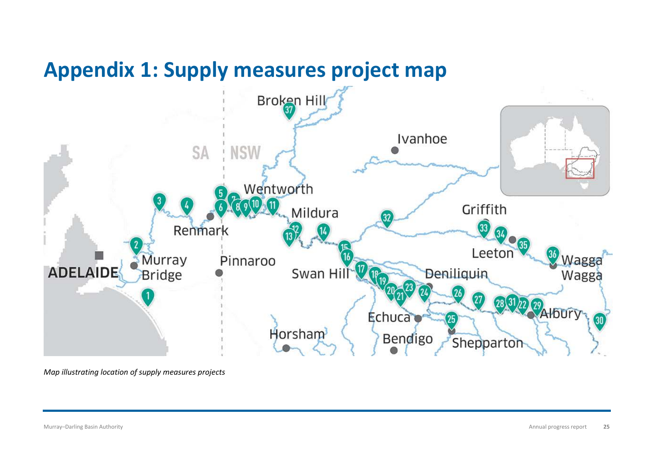

<span id="page-24-0"></span>*Map illustrating location of supply measures projects*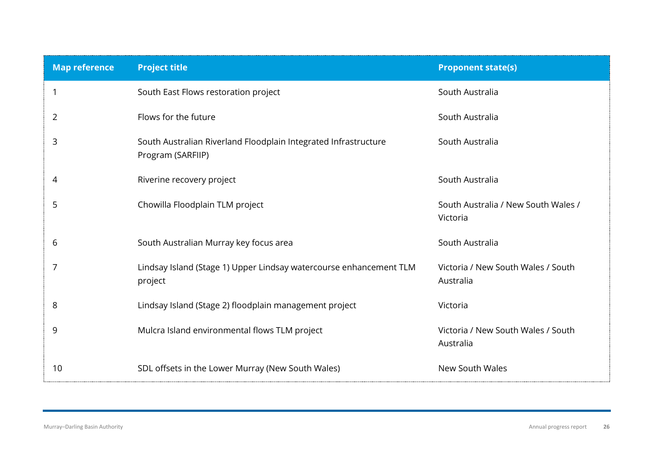| <b>Map reference</b> | <b>Project title</b>                                                                 | <b>Proponent state(s)</b>                       |
|----------------------|--------------------------------------------------------------------------------------|-------------------------------------------------|
|                      | South East Flows restoration project                                                 | South Australia                                 |
| 2                    | Flows for the future                                                                 | South Australia                                 |
| 3                    | South Australian Riverland Floodplain Integrated Infrastructure<br>Program (SARFIIP) | South Australia                                 |
| 4                    | Riverine recovery project                                                            | South Australia                                 |
| 5                    | Chowilla Floodplain TLM project                                                      | South Australia / New South Wales /<br>Victoria |
| 6                    | South Australian Murray key focus area                                               | South Australia                                 |
| 7                    | Lindsay Island (Stage 1) Upper Lindsay watercourse enhancement TLM<br>project        | Victoria / New South Wales / South<br>Australia |
| 8                    | Lindsay Island (Stage 2) floodplain management project                               | Victoria                                        |
| 9                    | Mulcra Island environmental flows TLM project                                        | Victoria / New South Wales / South<br>Australia |
| 10                   | SDL offsets in the Lower Murray (New South Wales)                                    | New South Wales                                 |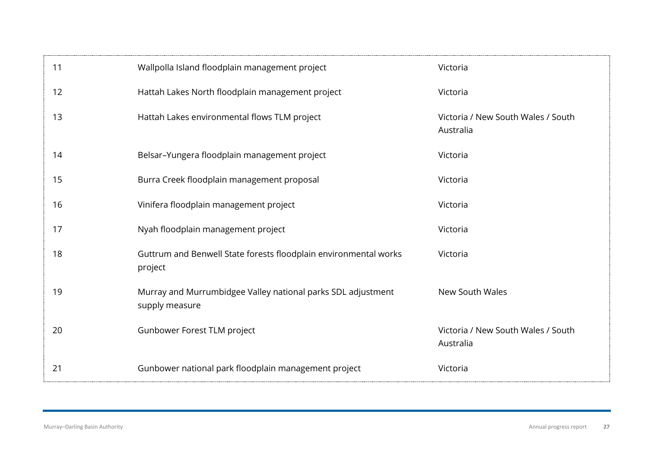| 11 | Wallpolla Island floodplain management project                                 | Victoria                                        |
|----|--------------------------------------------------------------------------------|-------------------------------------------------|
| 12 | Hattah Lakes North floodplain management project                               | Victoria                                        |
| 13 | Hattah Lakes environmental flows TLM project                                   | Victoria / New South Wales / South<br>Australia |
| 14 | Belsar-Yungera floodplain management project                                   | Victoria                                        |
| 15 | Burra Creek floodplain management proposal                                     | Victoria                                        |
| 16 | Vinifera floodplain management project                                         | Victoria                                        |
| 17 | Nyah floodplain management project                                             | Victoria                                        |
| 18 | Guttrum and Benwell State forests floodplain environmental works<br>project    | Victoria                                        |
| 19 | Murray and Murrumbidgee Valley national parks SDL adjustment<br>supply measure | New South Wales                                 |
| 20 | Gunbower Forest TLM project                                                    | Victoria / New South Wales / South<br>Australia |
| 21 | Gunbower national park floodplain management project                           | Victoria                                        |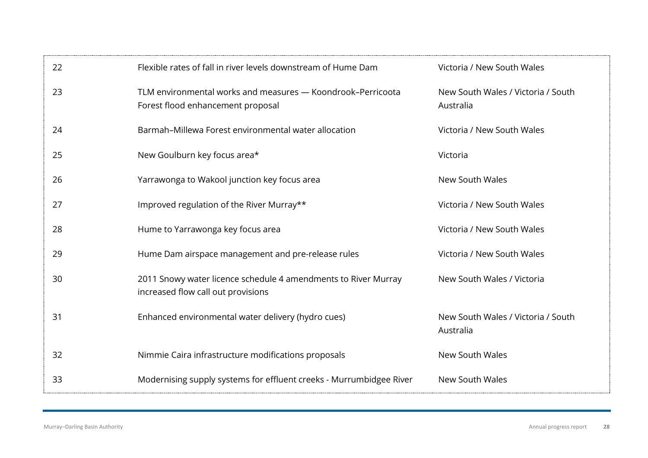| 22 | Flexible rates of fall in river levels downstream of Hume Dam                                        | Victoria / New South Wales                      |
|----|------------------------------------------------------------------------------------------------------|-------------------------------------------------|
| 23 | TLM environmental works and measures - Koondrook-Perricoota<br>Forest flood enhancement proposal     | New South Wales / Victoria / South<br>Australia |
| 24 | Barmah-Millewa Forest environmental water allocation                                                 | Victoria / New South Wales                      |
| 25 | New Goulburn key focus area*                                                                         | Victoria                                        |
| 26 | Yarrawonga to Wakool junction key focus area                                                         | New South Wales                                 |
| 27 | Improved regulation of the River Murray**                                                            | Victoria / New South Wales                      |
| 28 | Hume to Yarrawonga key focus area                                                                    | Victoria / New South Wales                      |
| 29 | Hume Dam airspace management and pre-release rules                                                   | Victoria / New South Wales                      |
| 30 | 2011 Snowy water licence schedule 4 amendments to River Murray<br>increased flow call out provisions | New South Wales / Victoria                      |
| 31 | Enhanced environmental water delivery (hydro cues)                                                   | New South Wales / Victoria / South<br>Australia |
| 32 | Nimmie Caira infrastructure modifications proposals                                                  | New South Wales                                 |
| 33 | Modernising supply systems for effluent creeks - Murrumbidgee River                                  | <b>New South Wales</b>                          |